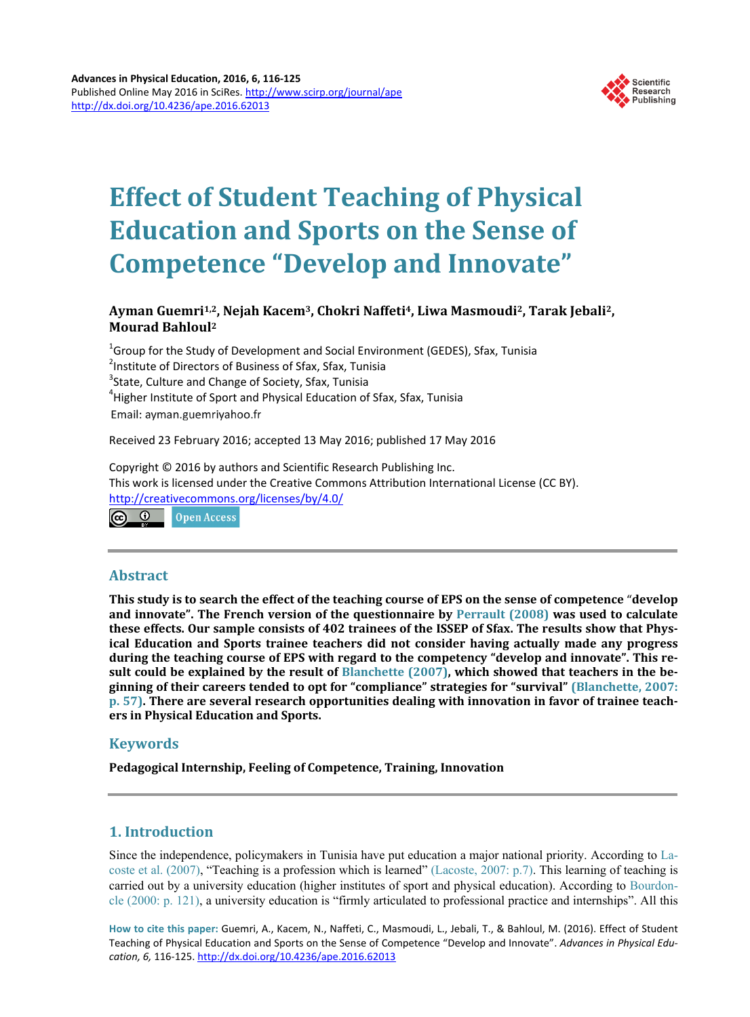

# **Effect of Student Teaching of Physical Education and Sports on the Sense of Competence "Develop and Innovate"**

# **Ayman Guemri1,2, Nejah Kacem3, Chokri Naffeti4, Liwa Masmoudi2, Tarak Jebali2, Mourad Bahloul2**

 $^{\rm 1}$ Group for the Study of Development and Social Environment (GEDES), Sfax, Tunisia <sup>2</sup>Institute of Directors of Business of Sfax, Sfax, Tunisia<br><sup>3</sup>State, Culture and Change of Society, Sfax, Tunisia  $3$ State, Culture and Change of Society, Sfax, Tunisia <sup>4</sup> Higher Institute of Sport and Physical Education of Sfax, Sfax, Tunisia Email: ayman.guemriyahoo.fr

Received 23 February 2016; accepted 13 May 2016; published 17 May 2016

Copyright © 2016 by authors and Scientific Research Publishing Inc. This work is licensed under the Creative Commons Attribution International License (CC BY). <http://creativecommons.org/licenses/by/4.0/>

<u>ര</u> 0 Open Access

# **Abstract**

**This study is to search the effect of the teaching course of EPS on the sense of competence** "**develop and innovate". The French version of the questionnaire by [Perrault \(2008\)](#page-7-0) was used to calculate these effects. Our sample consists of 402 trainees of the ISSEP of Sfax. The results show that Physical Education and Sports trainee teachers did not consider having actually made any progress during the teaching course of EPS with regard to the competency "develop and innovate". This result could be explained by the result of [Blanchette](#page-6-0) (2007), which showed that teachers in the beginning of their careers tended to opt for "compliance" strategies for "survival" [\(Blanchette, 2007:](#page-6-0)  [p. 57\).](#page-6-0) There are several research opportunities dealing with innovation in favor of trainee teachers in Physical Education and Sports.**

# **Keywords**

**Pedagogical Internship, Feeling of Competence, Training, Innovation**

# **1. Introduction**

Since the independence, policymakers in Tunisia have put education a major national priority. According to [La](#page-7-0)[coste et al. \(2007\),](#page-7-0) "Teaching is a profession which is learned" (Lacoste, [2007: p.7\).](#page-7-0) This learning of teaching is carried out by a university education (higher institutes of sport and physical education). According to [Bourdon](#page-6-0)cle (2000: [p. 121\),](#page-6-0) a university education is "firmly articulated to professional practice and internships". All this

**How to cite this paper:** Guemri, A., Kacem, N., Naffeti, C., Masmoudi, L., Jebali, T., & Bahloul, M. (2016). Effect of Student Teaching of Physical Education and Sports on the Sense of Competence "Develop and Innovate". *Advances in Physical Education, 6,* 116-125. <http://dx.doi.org/10.4236/ape.2016.62013>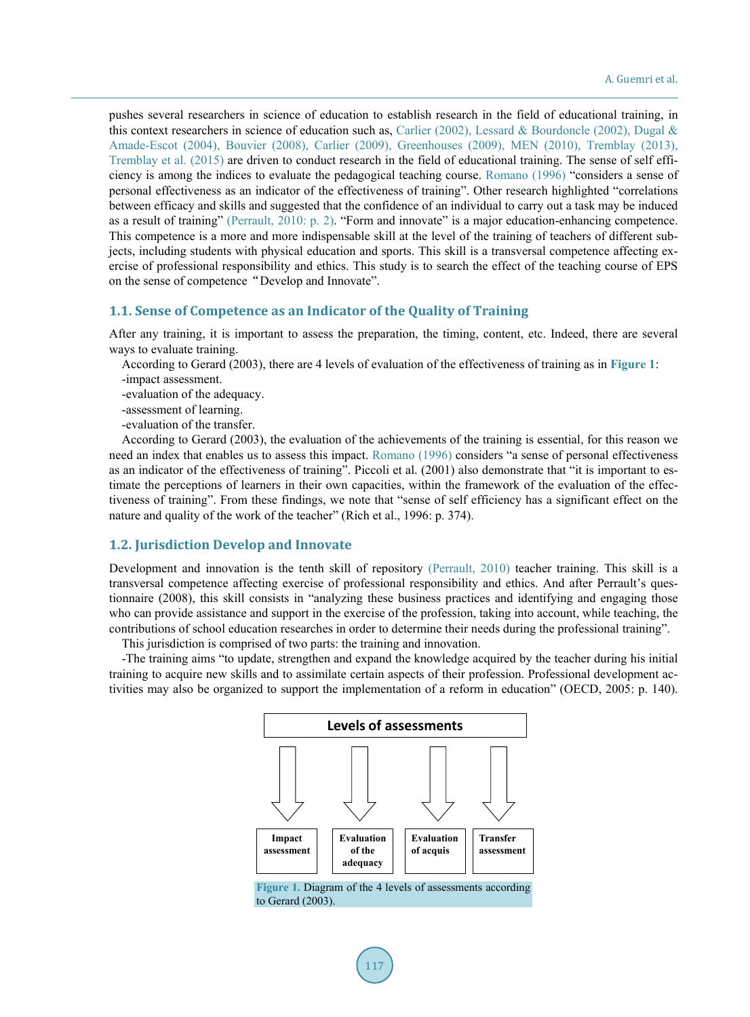pushes several researchers in science of education to establish research in the field of educational training, in this context researchers in science of education such as, [Carlier \(2002\),](#page-6-0) Lessard [& Bourdoncle](#page-7-0) (2002), [Dugal](#page-6-0) & Amade-Escot [\(2004\), Bouvier \(2008\), Carlier \(2009\),](#page-6-0) [Greenhouses \(2009\), MEN](#page-7-0) (2010), Tremblay (2013), Tremblay [et al. \(2015\)](#page-7-0) are driven to conduct research in the field of educational training. The sense of self efficiency is among the indices to evaluate the pedagogical teaching course. [Romano \(1996\)](#page-7-0) "considers a sense of personal effectiveness as an indicator of the effectiveness of training". Other research highlighted "correlations between efficacy and skills and suggested that the confidence of an individual to carry out a task may be induced as a result of training" [\(Perrault,](#page-7-0) 2010: p. 2). "Form and innovate" is a major education-enhancing competence. This competence is a more and more indispensable skill at the level of the training of teachers of different subjects, including students with physical education and sports. This skill is a transversal competence affecting exercise of professional responsibility and ethics. This study is to search the effect of the teaching course of EPS on the sense of competence "Develop and Innovate".

#### **1.1. Sense of Competence as an Indicator of the Quality of Training**

After any training, it is important to assess the preparation, the timing, content, etc. Indeed, there are several ways to evaluate training.

According to Gerard (2003), there are 4 levels of evaluation of the effectiveness of training as in **[Figure 1](#page-1-0)**: -impact assessment.

-evaluation of the adequacy.

-assessment of learning.

-evaluation of the transfer.

According to Gerard (2003), the evaluation of the achievements of the training is essential, for this reason we need an index that enables us to assess this impact. [Romano \(1996\)](#page-7-0) considers "a sense of personal effectiveness as an indicator of the effectiveness of training". Piccoli et al. (2001) also demonstrate that "it is important to estimate the perceptions of learners in their own capacities, within the framework of the evaluation of the effectiveness of training". From these findings, we note that "sense of self efficiency has a significant effect on the nature and quality of the work of the teacher" (Rich et al., 1996: p. 374).

#### **1.2. Jurisdiction Develop and Innovate**

Development and innovation is the tenth skill of repository [\(Perrault,](#page-7-0) 2010) teacher training. This skill is a transversal competence affecting exercise of professional responsibility and ethics. And after Perrault's questionnaire (2008), this skill consists in "analyzing these business practices and identifying and engaging those who can provide assistance and support in the exercise of the profession, taking into account, while teaching, the contributions of school education researches in order to determine their needs during the professional training".

This jurisdiction is comprised of two parts: the training and innovation.

<span id="page-1-0"></span>-The training aims "to update, strengthen and expand the knowledge acquired by the teacher during his initial training to acquire new skills and to assimilate certain aspects of their profession. Professional development activities may also be organized to support the implementation of a reform in education" (OECD, 2005: p. 140).



**Figure 1.** Diagram of the 4 levels of assessments according to Gerard (2003).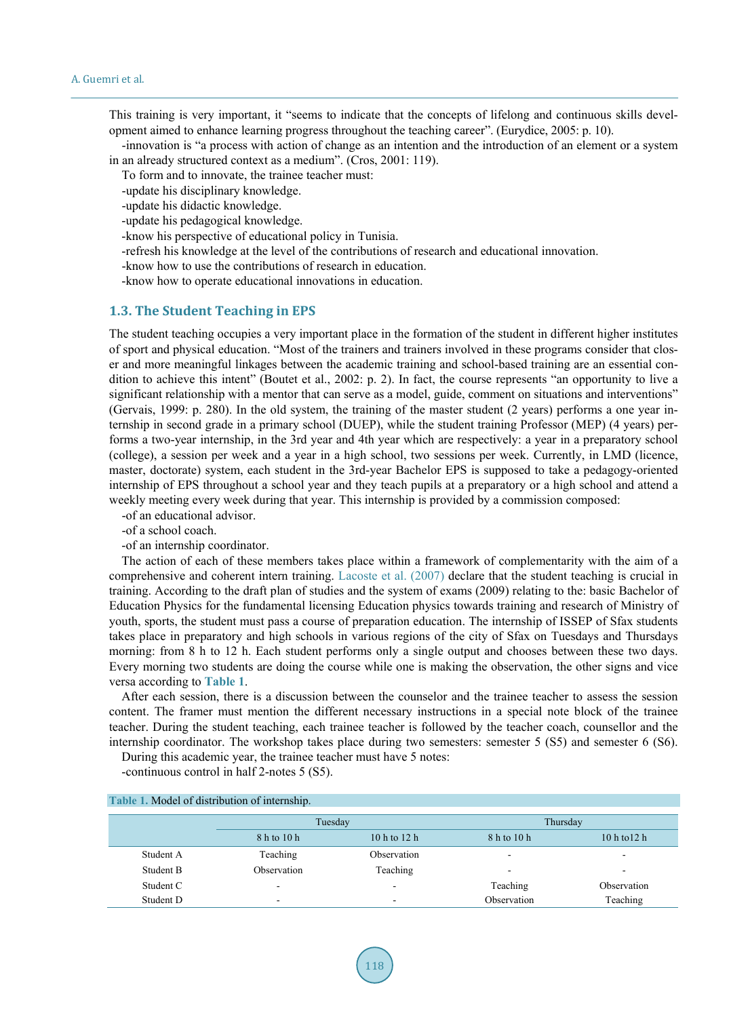This training is very important, it "seems to indicate that the concepts of lifelong and continuous skills development aimed to enhance learning progress throughout the teaching career". (Eurydice, 2005: p. 10).

-innovation is "a process with action of change as an intention and the introduction of an element or a system in an already structured context as a medium". (Cros, 2001: 119).

To form and to innovate, the trainee teacher must:

-update his disciplinary knowledge.

-update his didactic knowledge.

-update his pedagogical knowledge.

-know his perspective of educational policy in Tunisia.

-refresh his knowledge at the level of the contributions of research and educational innovation.

-know how to use the contributions of research in education.

-know how to operate educational innovations in education.

## **1.3. The Student Teaching in EPS**

The student teaching occupies a very important place in the formation of the student in different higher institutes of sport and physical education. "Most of the trainers and trainers involved in these programs consider that closer and more meaningful linkages between the academic training and school-based training are an essential condition to achieve this intent" (Boutet et al., 2002: p. 2). In fact, the course represents "an opportunity to live a significant relationship with a mentor that can serve as a model, guide, comment on situations and interventions" (Gervais, 1999: p. 280). In the old system, the training of the master student (2 years) performs a one year internship in second grade in a primary school (DUEP), while the student training Professor (MEP) (4 years) performs a two-year internship, in the 3rd year and 4th year which are respectively: a year in a preparatory school (college), a session per week and a year in a high school, two sessions per week. Currently, in LMD (licence, master, doctorate) system, each student in the 3rd-year Bachelor EPS is supposed to take a pedagogy-oriented internship of EPS throughout a school year and they teach pupils at a preparatory or a high school and attend a weekly meeting every week during that year. This internship is provided by a commission composed:

-of an educational advisor.

- -of a school coach.
- -of an internship coordinator.

The action of each of these members takes place within a framework of complementarity with the aim of a comprehensive and coherent intern training. [Lacoste et](#page-7-0) al. (2007) declare that the student teaching is crucial in training. According to the draft plan of studies and the system of exams (2009) relating to the: basic Bachelor of Education Physics for the fundamental licensing Education physics towards training and research of Ministry of youth, sports, the student must pass a course of preparation education. The internship of ISSEP of Sfax students takes place in preparatory and high schools in various regions of the city of Sfax on Tuesdays and Thursdays morning: from 8 h to 12 h. Each student performs only a single output and chooses between these two days. Every morning two students are doing the course while one is making the observation, the other signs and vice versa according to **[Table 1](#page-2-0)**.

After each session, there is a discussion between the counselor and the trainee teacher to assess the session content. The framer must mention the different necessary instructions in a special note block of the trainee teacher. During the student teaching, each trainee teacher is followed by the teacher coach, counsellor and the internship coordinator. The workshop takes place during two semesters: semester 5 (S5) and semester 6 (S6).

During this academic year, the trainee teacher must have 5 notes:

-continuous control in half 2-notes 5 (S5).

<span id="page-2-0"></span>

| <u>rapit 1. htouch of distribution of internsing.</u> |                          |                          |                          |                |  |  |  |  |  |  |  |  |
|-------------------------------------------------------|--------------------------|--------------------------|--------------------------|----------------|--|--|--|--|--|--|--|--|
|                                                       | Tuesday                  |                          | Thursday                 |                |  |  |  |  |  |  |  |  |
|                                                       | 8 h to 10 h              | $10h$ to $12h$           | 8 h to 10 h              | $10h$ to $12h$ |  |  |  |  |  |  |  |  |
| Student A                                             | Teaching                 | Observation              | $\overline{\phantom{a}}$ |                |  |  |  |  |  |  |  |  |
| Student B                                             | Observation              | Teaching                 | $\overline{\phantom{a}}$ | ۰              |  |  |  |  |  |  |  |  |
| Student C                                             | $\overline{\phantom{a}}$ | $\overline{\phantom{0}}$ | Teaching                 | Observation    |  |  |  |  |  |  |  |  |
| Student D                                             | $\overline{\phantom{a}}$ | $\overline{\phantom{a}}$ | Observation              | Teaching       |  |  |  |  |  |  |  |  |

# **Table 1.** Model of distribution of internship.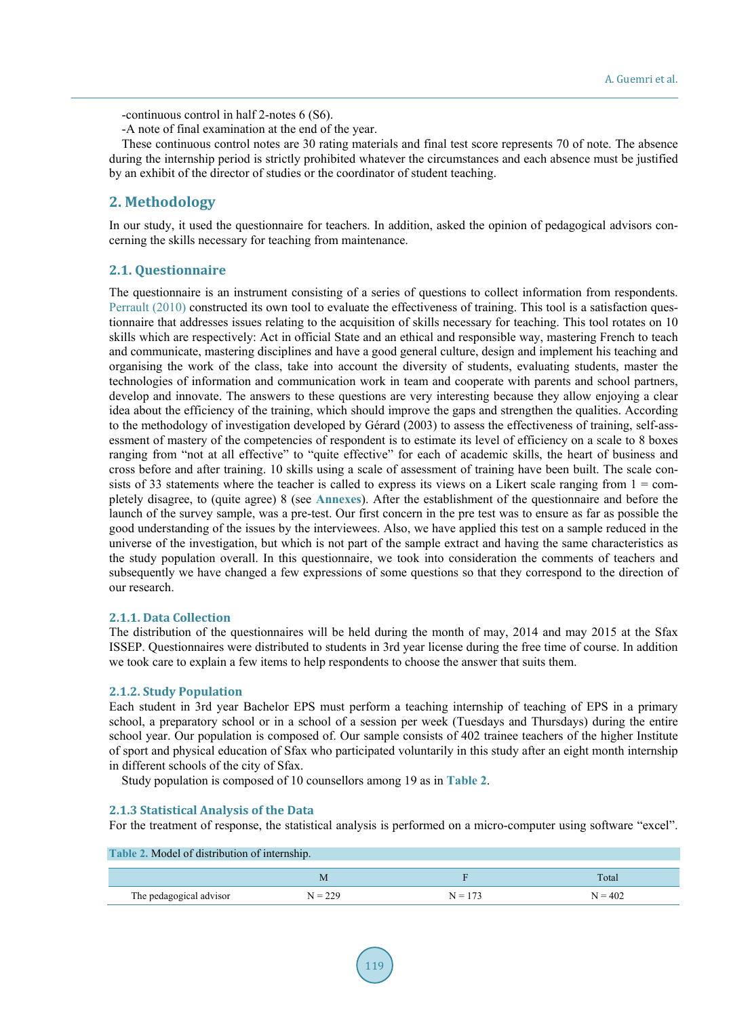-continuous control in half 2-notes 6 (S6).

-A note of final examination at the end of the year.

These continuous control notes are 30 rating materials and final test score represents 70 of note. The absence during the internship period is strictly prohibited whatever the circumstances and each absence must be justified by an exhibit of the director of studies or the coordinator of student teaching.

# **2. Methodology**

In our study, it used the questionnaire for teachers. In addition, asked the opinion of pedagogical advisors concerning the skills necessary for teaching from maintenance.

# **2.1. Questionnaire**

The questionnaire is an instrument consisting of a series of questions to collect information from respondents. [Perrault \(2010\)](#page-7-0) constructed its own tool to evaluate the effectiveness of training. This tool is a satisfaction questionnaire that addresses issues relating to the acquisition of skills necessary for teaching. This tool rotates on 10 skills which are respectively: Act in official State and an ethical and responsible way, mastering French to teach and communicate, mastering disciplines and have a good general culture, design and implement his teaching and organising the work of the class, take into account the diversity of students, evaluating students, master the technologies of information and communication work in team and cooperate with parents and school partners, develop and innovate. The answers to these questions are very interesting because they allow enjoying a clear idea about the efficiency of the training, which should improve the gaps and strengthen the qualities. According to the methodology of investigation developed by Gérard (2003) to assess the effectiveness of training, self-assessment of mastery of the competencies of respondent is to estimate its level of efficiency on a scale to 8 boxes ranging from "not at all effective" to "quite effective" for each of academic skills, the heart of business and cross before and after training. 10 skills using a scale of assessment of training have been built. The scale consists of 33 statements where the teacher is called to express its views on a Likert scale ranging from  $1 =$  completely disagree, to (quite agree) 8 (see **[Annexes](#page-8-0)**). After the establishment of the questionnaire and before the launch of the survey sample, was a pre-test. Our first concern in the pre test was to ensure as far as possible the good understanding of the issues by the interviewees. Also, we have applied this test on a sample reduced in the universe of the investigation, but which is not part of the sample extract and having the same characteristics as the study population overall. In this questionnaire, we took into consideration the comments of teachers and subsequently we have changed a few expressions of some questions so that they correspond to the direction of our research.

## **2.1.1. Data Collection**

The distribution of the questionnaires will be held during the month of may, 2014 and may 2015 at the Sfax ISSEP. Questionnaires were distributed to students in 3rd year license during the free time of course. In addition we took care to explain a few items to help respondents to choose the answer that suits them.

## **2.1.2. Study Population**

Each student in 3rd year Bachelor EPS must perform a teaching internship of teaching of EPS in a primary school, a preparatory school or in a school of a session per week (Tuesdays and Thursdays) during the entire school year. Our population is composed of. Our sample consists of 402 trainee teachers of the higher Institute of sport and physical education of Sfax who participated voluntarily in this study after an eight month internship in different schools of the city of Sfax.

Study population is composed of 10 counsellors among 19 as in **[Table 2](#page-3-0)**.

## **2.1.3 Statistical Analysis of the Data**

For the treatment of response, the statistical analysis is performed on a micro-computer using software "excel".

<span id="page-3-0"></span>

| Table 2. Model of distribution of internship. |           |           |           |  |  |  |  |  |  |  |  |
|-----------------------------------------------|-----------|-----------|-----------|--|--|--|--|--|--|--|--|
|                                               |           |           |           |  |  |  |  |  |  |  |  |
|                                               | M         |           | Total     |  |  |  |  |  |  |  |  |
| The pedagogical advisor                       | $N = 229$ | $N = 173$ | $N = 402$ |  |  |  |  |  |  |  |  |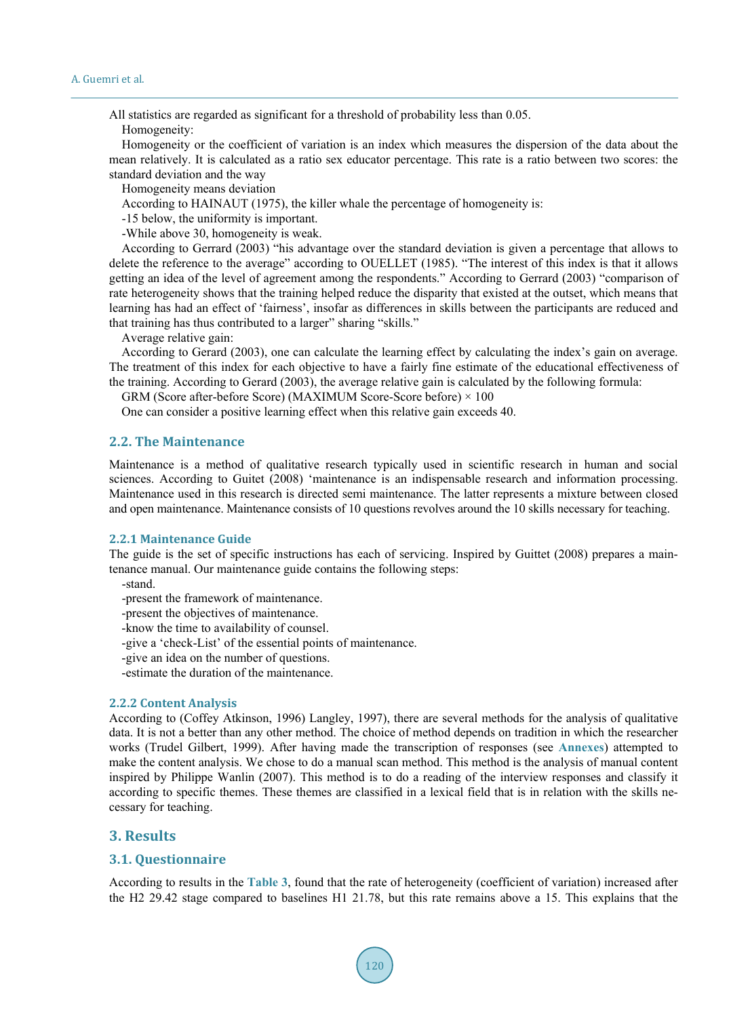All statistics are regarded as significant for a threshold of probability less than 0.05.

Homogeneity:

Homogeneity or the coefficient of variation is an index which measures the dispersion of the data about the mean relatively. It is calculated as a ratio sex educator percentage. This rate is a ratio between two scores: the standard deviation and the way

Homogeneity means deviation

According to HAINAUT (1975), the killer whale the percentage of homogeneity is:

-15 below, the uniformity is important.

-While above 30, homogeneity is weak.

According to Gerrard (2003) "his advantage over the standard deviation is given a percentage that allows to delete the reference to the average" according to OUELLET (1985). "The interest of this index is that it allows getting an idea of the level of agreement among the respondents." According to Gerrard (2003) "comparison of rate heterogeneity shows that the training helped reduce the disparity that existed at the outset, which means that learning has had an effect of 'fairness', insofar as differences in skills between the participants are reduced and that training has thus contributed to a larger" sharing "skills."

Average relative gain:

According to Gerard (2003), one can calculate the learning effect by calculating the index's gain on average. The treatment of this index for each objective to have a fairly fine estimate of the educational effectiveness of the training. According to Gerard (2003), the average relative gain is calculated by the following formula:

GRM (Score after-before Score) (MAXIMUM Score-Score before)  $\times$  100

One can consider a positive learning effect when this relative gain exceeds 40.

# **2.2. The Maintenance**

Maintenance is a method of qualitative research typically used in scientific research in human and social sciences. According to Guitet (2008) 'maintenance is an indispensable research and information processing. Maintenance used in this research is directed semi maintenance. The latter represents a mixture between closed and open maintenance. Maintenance consists of 10 questions revolves around the 10 skills necessary for teaching.

#### **2.2.1 Maintenance Guide**

The guide is the set of specific instructions has each of servicing. Inspired by Guittet (2008) prepares a maintenance manual. Our maintenance guide contains the following steps:

- -stand.
- -present the framework of maintenance.
- -present the objectives of maintenance.
- -know the time to availability of counsel.
- -give a 'check-List' of the essential points of maintenance.
- -give an idea on the number of questions.
- -estimate the duration of the maintenance.

#### **2.2.2 Content Analysis**

According to (Coffey Atkinson, 1996) Langley, 1997), there are several methods for the analysis of qualitative data. It is not a better than any other method. The choice of method depends on tradition in which the researcher works (Trudel Gilbert, 1999). After having made the transcription of responses (see **[Annexes](#page-8-0)**) attempted to make the content analysis. We chose to do a manual scan method. This method is the analysis of manual content inspired by Philippe Wanlin (2007). This method is to do a reading of the interview responses and classify it according to specific themes. These themes are classified in a lexical field that is in relation with the skills necessary for teaching.

#### **3. Results**

## **3.1. Questionnaire**

According to results in the **[Table 3](#page-5-0)**, found that the rate of heterogeneity (coefficient of variation) increased after the H2 29.42 stage compared to baselines H1 21.78, but this rate remains above a 15. This explains that the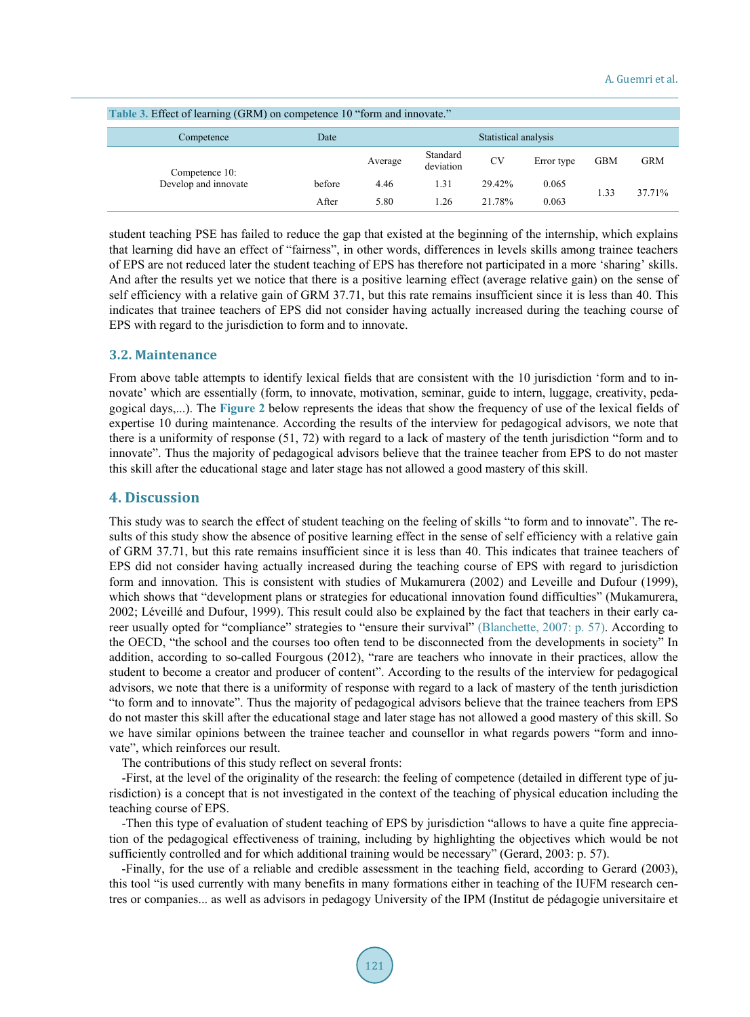<span id="page-5-0"></span>

| Table 3. Effect of learning (GRM) on competence 10 "form and innovate." |                              |         |                       |           |            |            |            |  |  |  |  |
|-------------------------------------------------------------------------|------------------------------|---------|-----------------------|-----------|------------|------------|------------|--|--|--|--|
| Competence                                                              | Statistical analysis<br>Date |         |                       |           |            |            |            |  |  |  |  |
| Competence 10:                                                          |                              | Average | Standard<br>deviation | <b>CV</b> | Error type | <b>GBM</b> | <b>GRM</b> |  |  |  |  |
| Develop and innovate                                                    | before                       | 4.46    | 1.31                  | 29.42%    | 0.065      |            | 37.71%     |  |  |  |  |
|                                                                         | After                        | 5.80    | 1.26                  | 21 78%    | 0.063      | 1.33       |            |  |  |  |  |

student teaching PSE has failed to reduce the gap that existed at the beginning of the internship, which explains that learning did have an effect of "fairness", in other words, differences in levels skills among trainee teachers of EPS are not reduced later the student teaching of EPS has therefore not participated in a more 'sharing' skills. And after the results yet we notice that there is a positive learning effect (average relative gain) on the sense of self efficiency with a relative gain of GRM 37.71, but this rate remains insufficient since it is less than 40. This indicates that trainee teachers of EPS did not consider having actually increased during the teaching course of EPS with regard to the jurisdiction to form and to innovate.

#### **3.2. Maintenance**

From above table attempts to identify lexical fields that are consistent with the 10 jurisdiction 'form and to innovate' which are essentially (form, to innovate, motivation, seminar, guide to intern, luggage, creativity, pedagogical days,...). The **[Figure 2](#page-6-1)** below represents the ideas that show the frequency of use of the lexical fields of expertise 10 during maintenance. According the results of the interview for pedagogical advisors, we note that there is a uniformity of response (51, 72) with regard to a lack of mastery of the tenth jurisdiction "form and to innovate". Thus the majority of pedagogical advisors believe that the trainee teacher from EPS to do not master this skill after the educational stage and later stage has not allowed a good mastery of this skill.

# **4. Discussion**

This study was to search the effect of student teaching on the feeling of skills "to form and to innovate". The results of this study show the absence of positive learning effect in the sense of self efficiency with a relative gain of GRM 37.71, but this rate remains insufficient since it is less than 40. This indicates that trainee teachers of EPS did not consider having actually increased during the teaching course of EPS with regard to jurisdiction form and innovation. This is consistent with studies of Mukamurera (2002) and Leveille and Dufour (1999), which shows that "development plans or strategies for educational innovation found difficulties" (Mukamurera, 2002; Léveillé and Dufour, 1999). This result could also be explained by the fact that teachers in their early career usually opted for "compliance" strategies to "ensure their survival" [\(Blanchette, 2007: p. 57\).](#page-6-0) According to the OECD, "the school and the courses too often tend to be disconnected from the developments in society" In addition, according to so-called Fourgous (2012), "rare are teachers who innovate in their practices, allow the student to become a creator and producer of content". According to the results of the interview for pedagogical advisors, we note that there is a uniformity of response with regard to a lack of mastery of the tenth jurisdiction "to form and to innovate". Thus the majority of pedagogical advisors believe that the trainee teachers from EPS do not master this skill after the educational stage and later stage has not allowed a good mastery of this skill. So we have similar opinions between the trainee teacher and counsellor in what regards powers "form and innovate", which reinforces our result.

The contributions of this study reflect on several fronts:

-First, at the level of the originality of the research: the feeling of competence (detailed in different type of jurisdiction) is a concept that is not investigated in the context of the teaching of physical education including the teaching course of EPS.

-Then this type of evaluation of student teaching of EPS by jurisdiction "allows to have a quite fine appreciation of the pedagogical effectiveness of training, including by highlighting the objectives which would be not sufficiently controlled and for which additional training would be necessary" (Gerard, 2003: p. 57).

-Finally, for the use of a reliable and credible assessment in the teaching field, according to Gerard (2003), this tool "is used currently with many benefits in many formations either in teaching of the IUFM research centres or companies... as well as advisors in pedagogy University of the IPM (Institut de pédagogie universitaire et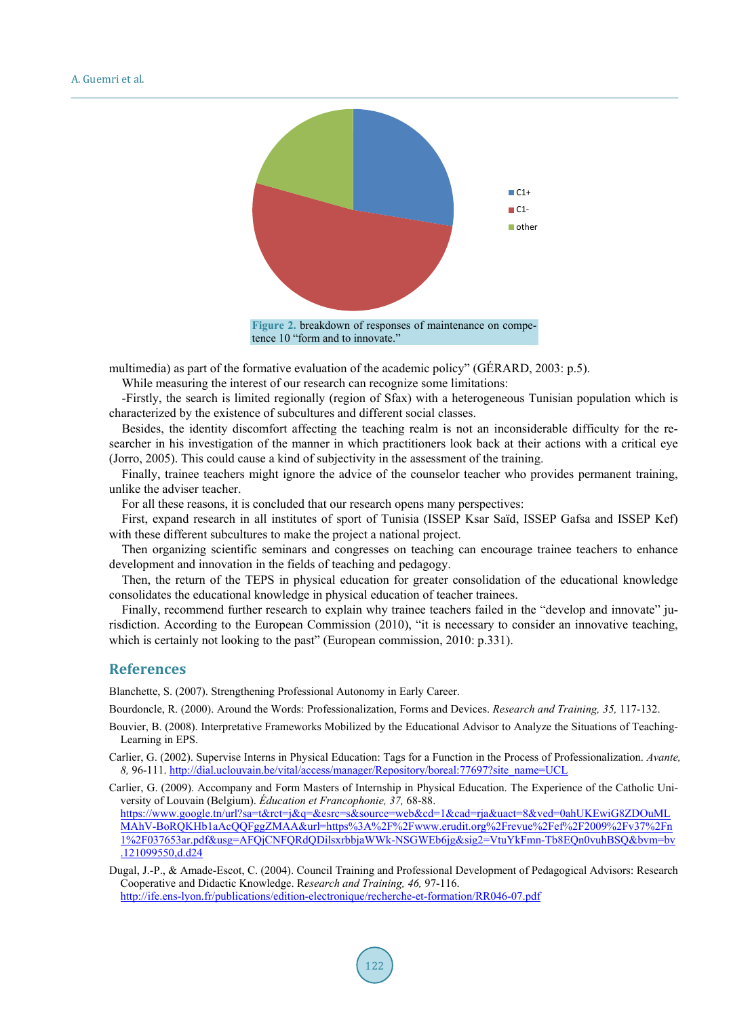<span id="page-6-1"></span>

multimedia) as part of the formative evaluation of the academic policy" (GÉRARD, 2003: p.5).

While measuring the interest of our research can recognize some limitations:

-Firstly, the search is limited regionally (region of Sfax) with a heterogeneous Tunisian population which is characterized by the existence of subcultures and different social classes.

Besides, the identity discomfort affecting the teaching realm is not an inconsiderable difficulty for the researcher in his investigation of the manner in which practitioners look back at their actions with a critical eye (Jorro, 2005). This could cause a kind of subjectivity in the assessment of the training.

Finally, trainee teachers might ignore the advice of the counselor teacher who provides permanent training, unlike the adviser teacher.

For all these reasons, it is concluded that our research opens many perspectives:

First, expand research in all institutes of sport of Tunisia (ISSEP Ksar Saïd, ISSEP Gafsa and ISSEP Kef) with these different subcultures to make the project a national project.

Then organizing scientific seminars and congresses on teaching can encourage trainee teachers to enhance development and innovation in the fields of teaching and pedagogy.

Then, the return of the TEPS in physical education for greater consolidation of the educational knowledge consolidates the educational knowledge in physical education of teacher trainees.

Finally, recommend further research to explain why trainee teachers failed in the "develop and innovate" jurisdiction. According to the European Commission (2010), "it is necessary to consider an innovative teaching, which is certainly not looking to the past" (European commission, 2010: p.331).

#### **References**

<span id="page-6-0"></span>Blanchette, S. (2007). Strengthening Professional Autonomy in Early Career.

Bourdoncle, R. (2000). Around the Words: Professionalization, Forms and Devices. *Research and Training, 35,* 117-132.

- Bouvier, B. (2008). Interpretative Frameworks Mobilized by the Educational Advisor to Analyze the Situations of Teaching-Learning in EPS.
- Carlier, G. (2002). Supervise Interns in Physical Education: Tags for a Function in the Process of Professionalization. *Avante, 8,* 96-111[. http://dial.uclouvain.be/vital/access/manager/Repository/boreal:77697?site\\_name=UCL](http://dial.uclouvain.be/vital/access/manager/Repository/boreal:77697?site_name=UCL)

Carlier, G. (2009). Accompany and Form Masters of Internship in Physical Education. The Experience of the Catholic University of Louvain (Belgium). *Éducation et Francophonie, 37,* 68-88. [https://www.google.tn/url?sa=t&rct=j&q=&esrc=s&source=web&cd=1&cad=rja&uact=8&ved=0ahUKEwiG8ZDOuML](https://www.google.tn/url?sa=t&rct=j&q=&esrc=s&source=web&cd=1&cad=rja&uact=8&ved=0ahUKEwiG8ZDOuMLMAhV-BoRQKHb1aAcQQFggZMAA&url=https%3A%2F%2Fwww.erudit.org%2Frevue%2Fef%2F2009%2Fv37%2Fn1%2F037653ar.pdf&usg=AFQjCNFQRdQDilsxrbbjaWWk-NSGWEb6jg&sig2=VtuYkFmn-Tb8EQn0vuhBSQ&bvm=bv.121099550,d.d24) [MAhV-BoRQKHb1aAcQQFggZMAA&url=https%3A%2F%2Fwww.erudit.org%2Frevue%2Fef%2F2009%2Fv37%2Fn](https://www.google.tn/url?sa=t&rct=j&q=&esrc=s&source=web&cd=1&cad=rja&uact=8&ved=0ahUKEwiG8ZDOuMLMAhV-BoRQKHb1aAcQQFggZMAA&url=https%3A%2F%2Fwww.erudit.org%2Frevue%2Fef%2F2009%2Fv37%2Fn1%2F037653ar.pdf&usg=AFQjCNFQRdQDilsxrbbjaWWk-NSGWEb6jg&sig2=VtuYkFmn-Tb8EQn0vuhBSQ&bvm=bv.121099550,d.d24) [1%2F037653ar.pdf&usg=AFQjCNFQRdQDilsxrbbjaWWk-NSGWEb6jg&sig2=VtuYkFmn-Tb8EQn0vuhBSQ&bvm=bv](https://www.google.tn/url?sa=t&rct=j&q=&esrc=s&source=web&cd=1&cad=rja&uact=8&ved=0ahUKEwiG8ZDOuMLMAhV-BoRQKHb1aAcQQFggZMAA&url=https%3A%2F%2Fwww.erudit.org%2Frevue%2Fef%2F2009%2Fv37%2Fn1%2F037653ar.pdf&usg=AFQjCNFQRdQDilsxrbbjaWWk-NSGWEb6jg&sig2=VtuYkFmn-Tb8EQn0vuhBSQ&bvm=bv.121099550,d.d24)  $\overline{.121099550,d. d24}$ 

Dugal, J.-P., & Amade-Escot, C. (2004). Council Training and Professional Development of Pedagogical Advisors: Research Cooperative and Didactic Knowledge. R*esearch and Training, 46,* 97-116. <http://ife.ens-lyon.fr/publications/edition-electronique/recherche-et-formation/RR046-07.pdf>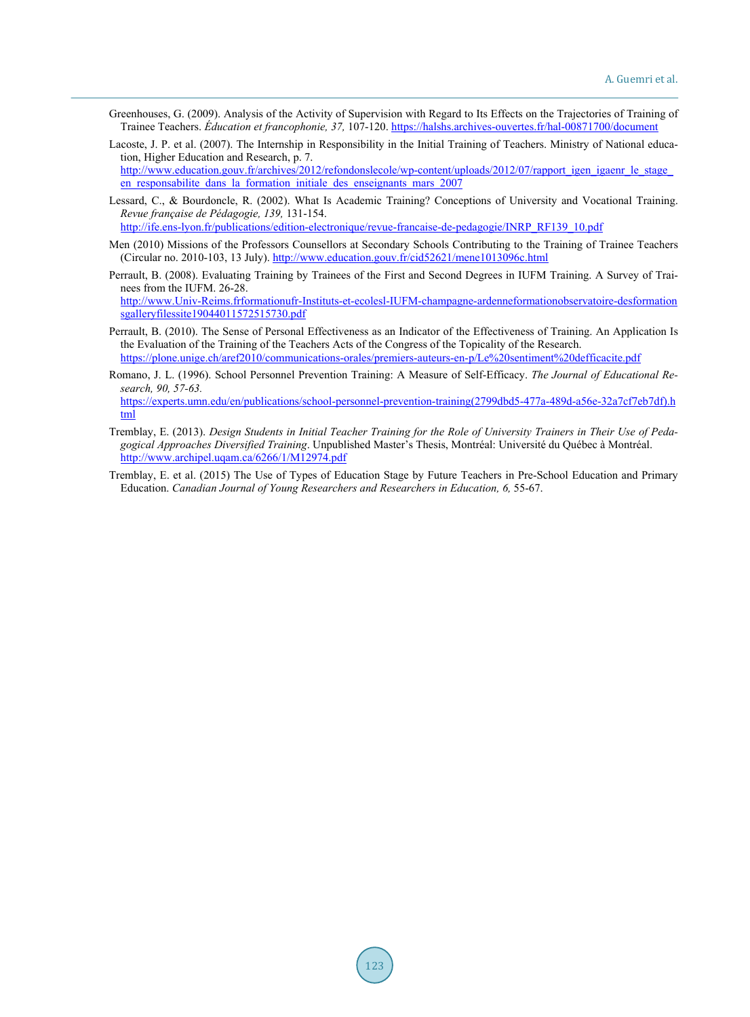- <span id="page-7-0"></span>Greenhouses, G. (2009). Analysis of the Activity of Supervision with Regard to Its Effects on the Trajectories of Training of Trainee Teachers. *Éducation et francophonie, 37,* 107-120.<https://halshs.archives-ouvertes.fr/hal-00871700/document>
- Lacoste, J. P. et al. (2007). The Internship in Responsibility in the Initial Training of Teachers. Ministry of National education, Higher Education and Research, p. 7. http://www.education.gouv.fr/archives/2012/refondonslecole/wp-content/uploads/2012/07/rapport\_igen\_igaenr\_le\_stage en responsabilite dans la formation initiale des enseignants mars  $2007$
- Lessard, C., & Bourdoncle, R. (2002). What Is Academic Training? Conceptions of University and Vocational Training. *Revue française de Pédagogie, 139,* 131-154.
	- [http://ife.ens-lyon.fr/publications/edition-electronique/revue-francaise-de-pedagogie/INRP\\_RF139\\_10.pdf](http://ife.ens-lyon.fr/publications/edition-electronique/revue-francaise-de-pedagogie/INRP_RF139_10.pdf)
- Men (2010) Missions of the Professors Counsellors at Secondary Schools Contributing to the Training of Trainee Teachers (Circular no. 2010-103, 13 July)[. http://www.education.gouv.fr/cid52621/mene1013096c.html](http://www.education.gouv.fr/cid52621/mene1013096c.html)
- Perrault, B. (2008). Evaluating Training by Trainees of the First and Second Degrees in IUFM Training. A Survey of Trainees from the IUFM. 26-28. [http://www.Univ-Reims.frformationufr-Instituts-et-ecolesl-IUFM-champagne-ardenneformationobservatoire-desformation](http://www.univ-reims.frformationufr-instituts-et-ecolesl-iufm-champagne-ardenneformationobservatoire-desformationsgalleryfilessite19044011572515730.pdf/)

[sgalleryfilessite19044011572515730.pdf](http://www.univ-reims.frformationufr-instituts-et-ecolesl-iufm-champagne-ardenneformationobservatoire-desformationsgalleryfilessite19044011572515730.pdf/) 

- Perrault, B. (2010). The Sense of Personal Effectiveness as an Indicator of the Effectiveness of Training. An Application Is the Evaluation of the Training of the Teachers Acts of the Congress of the Topicality of the Research. <https://plone.unige.ch/aref2010/communications-orales/premiers-auteurs-en-p/Le%20sentiment%20defficacite.pdf>
- Romano, J. L. (1996). School Personnel Prevention Training: A Measure of Self-Efficacy. *The Journal of Educational Research, 90, 57-63.*

[https://experts.umn.edu/en/publications/school-personnel-prevention-training\(2799dbd5-477a-489d-a56e-32a7cf7eb7df\).h](https://experts.umn.edu/en/publications/school-personnel-prevention-training(2799dbd5-477a-489d-a56e-32a7cf7eb7df).html) [tml](https://experts.umn.edu/en/publications/school-personnel-prevention-training(2799dbd5-477a-489d-a56e-32a7cf7eb7df).html)

- Tremblay, E. (2013). *Design Students in Initial Teacher Training for the Role of University Trainers in Their Use of Pedagogical Approaches Diversified Training*. Unpublished Master's Thesis, Montréal: Université du Québec à Montréal. <http://www.archipel.uqam.ca/6266/1/M12974.pdf>
- Tremblay, E. et al. (2015) The Use of Types of Education Stage by Future Teachers in Pre-School Education and Primary Education. *Canadian Journal of Young Researchers and Researchers in Education, 6,* 55-67.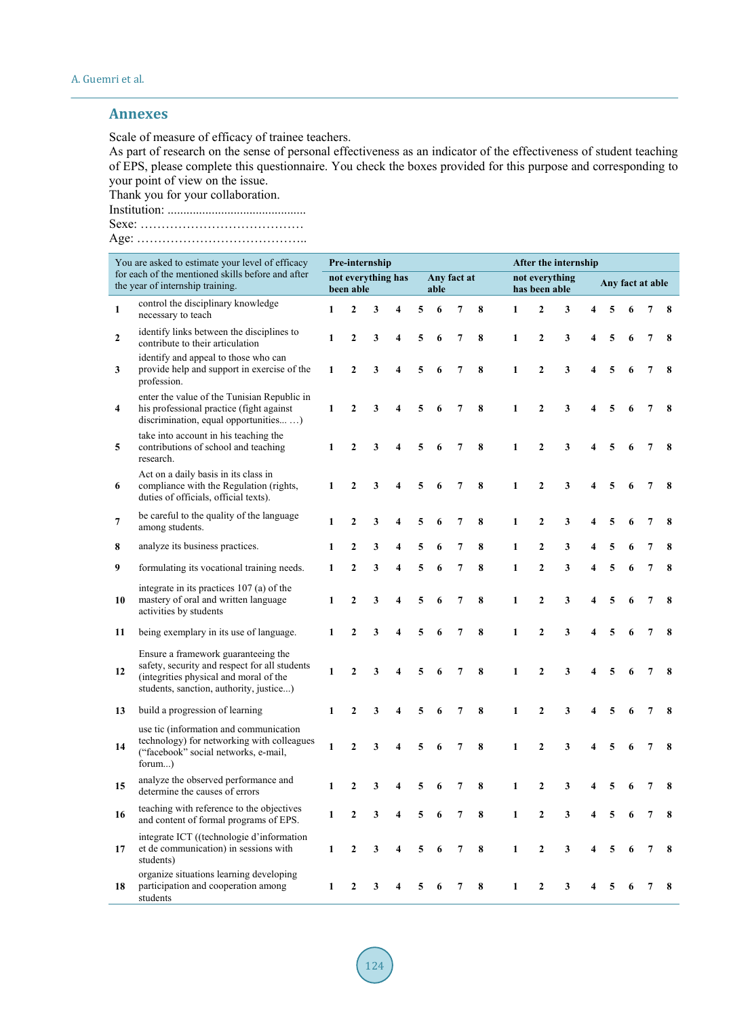# <span id="page-8-0"></span>**Annexes**

Scale of measure of efficacy of trainee teachers.

As part of research on the sense of personal effectiveness as an indicator of the effectiveness of student teaching of EPS, please complete this questionnaire. You check the boxes provided for this purpose and corresponding to your point of view on the issue.

Thank you for your collaboration.

Institution: ............................................

Sexe: …………………………………

Age: …………………………………..

| You are asked to estimate your level of efficacy<br>for each of the mentioned skills before and after<br>the year of internship training. |                                                                                                                                                                           | Pre-internship                  |                |                         |                         |      |             |                | After the internship |                                 |                |   |   |                  |   |                |          |
|-------------------------------------------------------------------------------------------------------------------------------------------|---------------------------------------------------------------------------------------------------------------------------------------------------------------------------|---------------------------------|----------------|-------------------------|-------------------------|------|-------------|----------------|----------------------|---------------------------------|----------------|---|---|------------------|---|----------------|----------|
|                                                                                                                                           |                                                                                                                                                                           | not everything has<br>been able |                |                         |                         | able | Any fact at |                |                      | not everything<br>has been able |                |   |   | Any fact at able |   |                |          |
| $\mathbf{1}$                                                                                                                              | control the disciplinary knowledge<br>necessary to teach                                                                                                                  | 1                               | $\mathbf{2}$   | 3                       | $\overline{\mathbf{4}}$ | 5    | 6           | $\overline{7}$ | 8                    | 1                               | $\mathbf{2}$   | 3 |   |                  |   |                |          |
| $\overline{2}$                                                                                                                            | identify links between the disciplines to<br>contribute to their articulation                                                                                             | 1                               | $\mathbf{2}$   | 3                       | 4                       | 5    | 6           | 7              | 8                    | 1                               | $\mathbf{2}$   | 3 | 4 | 5                | 6 | 7              | 8        |
| 3                                                                                                                                         | identify and appeal to those who can<br>provide help and support in exercise of the<br>profession.                                                                        | 1                               | $\mathbf{2}$   | 3                       | $\overline{\mathbf{4}}$ | 5    | 6           | $\overline{7}$ | 8                    | 1                               | $\overline{2}$ | 3 | 4 | 5                | 6 | 7              | $\bf{8}$ |
| $\overline{\mathbf{4}}$                                                                                                                   | enter the value of the Tunisian Republic in<br>his professional practice (fight against<br>discrimination, equal opportunities )                                          | 1                               | $\overline{2}$ | 3                       | $\overline{\mathbf{4}}$ | 5    | 6           | $\overline{7}$ | 8                    | $\mathbf{1}$                    | $\overline{2}$ | 3 | 4 | 5                |   | $\overline{7}$ | 8        |
| 5                                                                                                                                         | take into account in his teaching the<br>contributions of school and teaching<br>research.                                                                                | $\mathbf{1}$                    | $\overline{2}$ | 3                       | $\overline{\mathbf{4}}$ | 5    | 6           | $\overline{7}$ | 8                    | 1                               | $\overline{2}$ | 3 |   |                  |   |                | 8        |
| 6                                                                                                                                         | Act on a daily basis in its class in<br>compliance with the Regulation (rights,<br>duties of officials, official texts).                                                  | 1                               | $\mathbf{2}$   | 3                       | 4                       | 5    | 6           | $\overline{7}$ | 8                    | 1                               | $\mathbf{2}$   | 3 |   |                  |   | 7              | 8        |
| 7                                                                                                                                         | be careful to the quality of the language<br>among students.                                                                                                              | 1                               | $\overline{2}$ | 3                       | 4                       | 5    | 6           | 7              | 8                    | $\mathbf{1}$                    | $\overline{2}$ | 3 |   |                  |   | 7              | 8        |
| 8                                                                                                                                         | analyze its business practices.                                                                                                                                           | 1                               | $\mathbf{2}$   | 3                       | $\overline{\mathbf{4}}$ | 5    | 6           | 7              | 8                    | 1                               | $\mathbf{2}$   | 3 |   |                  |   |                | 8        |
| 9                                                                                                                                         | formulating its vocational training needs.                                                                                                                                | 1                               | $\overline{2}$ | 3                       | $\overline{\mathbf{4}}$ | 5    | 6           | 7              | 8                    | $\mathbf{1}$                    | $\overline{2}$ | 3 | 4 | 5                | 6 | 7              | 8        |
| 10                                                                                                                                        | integrate in its practices 107 (a) of the<br>mastery of oral and written language<br>activities by students                                                               | 1                               | $\mathbf{2}$   | $\overline{\mathbf{3}}$ | $\overline{\mathbf{4}}$ | 5    | 6           | $\overline{7}$ | 8                    | $\mathbf{1}$                    | $\mathbf{2}$   | 3 | 4 | 5                | 6 | 7              | 8        |
| 11                                                                                                                                        | being exemplary in its use of language.                                                                                                                                   | 1                               | $\overline{2}$ | 3                       | $\overline{\mathbf{4}}$ | 5    | 6           | $\overline{7}$ | 8                    | $\mathbf{1}$                    | $\overline{2}$ | 3 | 4 | 5                |   | $\overline{7}$ | 8        |
| 12                                                                                                                                        | Ensure a framework guaranteeing the<br>safety, security and respect for all students<br>(integrities physical and moral of the<br>students, sanction, authority, justice) | 1                               | $\overline{2}$ | 3                       | $\overline{\mathbf{4}}$ | 5    | 6           | $\overline{7}$ | 8                    | 1                               | $\overline{2}$ | 3 |   |                  |   | 7              | 8        |
| 13                                                                                                                                        | build a progression of learning                                                                                                                                           | 1                               | $\mathbf{2}$   | 3                       | 4                       | 5    | 6           | 7              | 8                    | 1                               | $\mathbf{2}$   | 3 |   |                  | 6 | 7              | 8        |
| 14                                                                                                                                        | use tic (information and communication<br>technology) for networking with colleagues<br>("facebook" social networks, e-mail,<br>forum)                                    | 1                               | $\overline{2}$ | 3                       | $\overline{\mathbf{4}}$ | 5    | 6           | 7              | 8                    | $\mathbf{1}$                    | $\overline{2}$ | 3 |   |                  |   | 7              | 8        |
| 15                                                                                                                                        | analyze the observed performance and<br>determine the causes of errors                                                                                                    | 1                               | $\mathbf{2}$   | 3                       | $\overline{\mathbf{4}}$ | 5    | 6           | $\overline{7}$ | 8                    | $\mathbf{1}$                    | $\mathbf{2}$   | 3 |   | 5                |   |                | 8        |
| 16                                                                                                                                        | teaching with reference to the objectives<br>and content of formal programs of EPS.                                                                                       | 1                               | $\overline{2}$ | 3                       | 4                       | 5    | 6           | 7              | 8                    | $\mathbf{1}$                    | $\overline{2}$ | 3 |   |                  |   | 7              | 8        |
| 17                                                                                                                                        | integrate ICT ((technologie d'information<br>et de communication) in sessions with<br>students)                                                                           | $\mathbf{1}$                    | $\overline{2}$ | 3                       | 4                       | 5    | 6           | 7              | 8                    | 1                               | $\overline{2}$ | 3 |   |                  |   |                | 8        |
| 18                                                                                                                                        | organize situations learning developing<br>participation and cooperation among<br>students                                                                                | 1                               | $\mathbf{2}$   | 3                       | 4                       | 5    | 6           | 7              | 8                    | 1                               | $\mathbf{2}$   | 3 |   |                  |   |                | 8        |